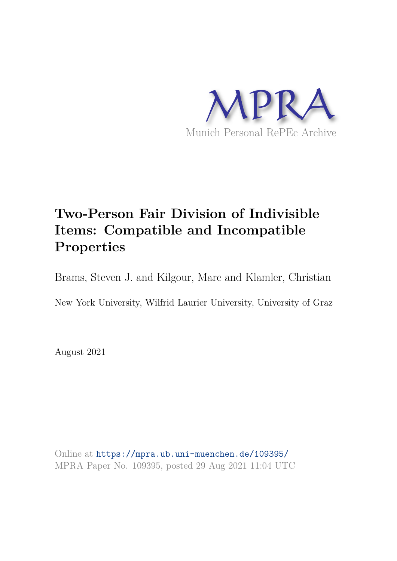

# **Two-Person Fair Division of Indivisible Items: Compatible and Incompatible Properties**

Brams, Steven J. and Kilgour, Marc and Klamler, Christian

New York University, Wilfrid Laurier University, University of Graz

August 2021

Online at https://mpra.ub.uni-muenchen.de/109395/ MPRA Paper No. 109395, posted 29 Aug 2021 11:04 UTC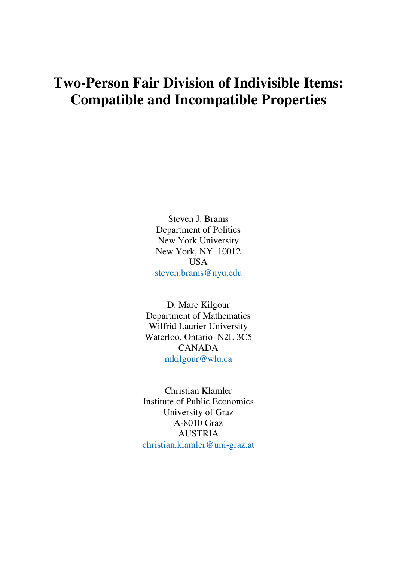# **Two-Person Fair Division of Indivisible Items: Compatible and Incompatible Properties**

Steven J. Brams Department of Politics New York University New York, NY 10012 USA [steven.brams@nyu.edu](mailto:steven.brams@nyu.edu) 

D. Marc Kilgour Department of Mathematics Wilfrid Laurier University Waterloo, Ontario N2L 3C5 CANADA [mkilgour@wlu.ca](mailto:mkilgour@wlu.ca) 

Christian Klamler Institute of Public Economics University of Graz A-8010 Graz AUSTRIA [christian.klamler@uni-graz.at](mailto:christian.klamler@uni-graz.at)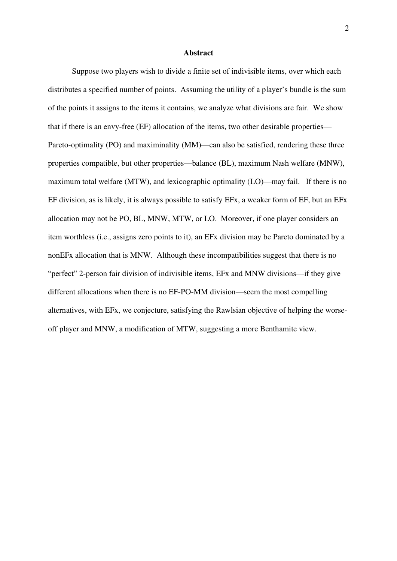#### **Abstract**

Suppose two players wish to divide a finite set of indivisible items, over which each distributes a specified number of points. Assuming the utility of a player's bundle is the sum of the points it assigns to the items it contains, we analyze what divisions are fair. We show that if there is an envy-free (EF) allocation of the items, two other desirable properties— Pareto-optimality (PO) and maximinality (MM)—can also be satisfied, rendering these three properties compatible, but other properties—balance (BL), maximum Nash welfare (MNW), maximum total welfare (MTW), and lexicographic optimality (LO)—may fail. If there is no EF division, as is likely, it is always possible to satisfy EFx, a weaker form of EF, but an EFx allocation may not be PO, BL, MNW, MTW, or LO. Moreover, if one player considers an item worthless (i.e., assigns zero points to it), an EFx division may be Pareto dominated by a nonEFx allocation that is MNW. Although these incompatibilities suggest that there is no "perfect" 2-person fair division of indivisible items, EFx and MNW divisions—if they give different allocations when there is no EF-PO-MM division—seem the most compelling alternatives, with EFx, we conjecture, satisfying the Rawlsian objective of helping the worseoff player and MNW, a modification of MTW, suggesting a more Benthamite view.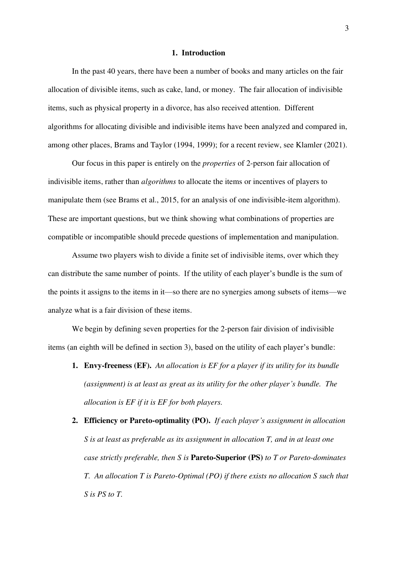#### **1. Introduction**

In the past 40 years, there have been a number of books and many articles on the fair allocation of divisible items, such as cake, land, or money. The fair allocation of indivisible items, such as physical property in a divorce, has also received attention. Different algorithms for allocating divisible and indivisible items have been analyzed and compared in, among other places, Brams and Taylor (1994, 1999); for a recent review, see Klamler (2021).

Our focus in this paper is entirely on the *properties* of 2-person fair allocation of indivisible items, rather than *algorithms* to allocate the items or incentives of players to manipulate them (see Brams et al., 2015, for an analysis of one indivisible-item algorithm). These are important questions, but we think showing what combinations of properties are compatible or incompatible should precede questions of implementation and manipulation.

Assume two players wish to divide a finite set of indivisible items, over which they can distribute the same number of points. If the utility of each player's bundle is the sum of the points it assigns to the items in it—so there are no synergies among subsets of items—we analyze what is a fair division of these items.

We begin by defining seven properties for the 2-person fair division of indivisible items (an eighth will be defined in section 3), based on the utility of each player's bundle:

- **1. Envy-freeness (EF).** *An allocation is EF for a player if its utility for its bundle (assignment) is at least as great as its utility for the other player's bundle. The allocation is EF if it is EF for both players.*
- **2. Efficiency or Pareto-optimality (PO).** *If each player's assignment in allocation S is at least as preferable as its assignment in allocation T, and in at least one case strictly preferable, then S is* **Pareto-Superior (PS)** *to T or Pareto-dominates T. An allocation T is Pareto-Optimal (PO) if there exists no allocation S such that S is PS to T.*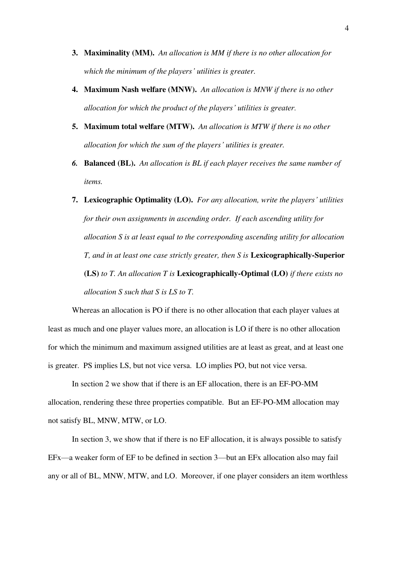- **3. Maximinality (MM).** *An allocation is MM if there is no other allocation for which the minimum of the players' utilities is greater.*
- **4. Maximum Nash welfare (MNW).** *An allocation is MNW if there is no other allocation for which the product of the players' utilities is greater.*
- **5. Maximum total welfare (MTW).** *An allocation is MTW if there is no other allocation for which the sum of the players' utilities is greater.*
- *6.* **Balanced (BL).** *An allocation is BL if each player receives the same number of items.*
- **7. Lexicographic Optimality (LO).** *For any allocation, write the players' utilities for their own assignments in ascending order. If each ascending utility for allocation S is at least equal to the corresponding ascending utility for allocation T, and in at least one case strictly greater, then S is* **Lexicographically-Superior (LS)** *to T. An allocation T is* **Lexicographically-Optimal (LO)** *if there exists no allocation S such that S is LS to T.*

Whereas an allocation is PO if there is no other allocation that each player values at least as much and one player values more, an allocation is LO if there is no other allocation for which the minimum and maximum assigned utilities are at least as great, and at least one is greater. PS implies LS, but not vice versa. LO implies PO, but not vice versa.

 In section 2 we show that if there is an EF allocation, there is an EF-PO-MM allocation, rendering these three properties compatible. But an EF-PO-MM allocation may not satisfy BL, MNW, MTW, or LO.

In section 3, we show that if there is no EF allocation, it is always possible to satisfy EFx—a weaker form of EF to be defined in section 3—but an EFx allocation also may fail any or all of BL, MNW, MTW, and LO. Moreover, if one player considers an item worthless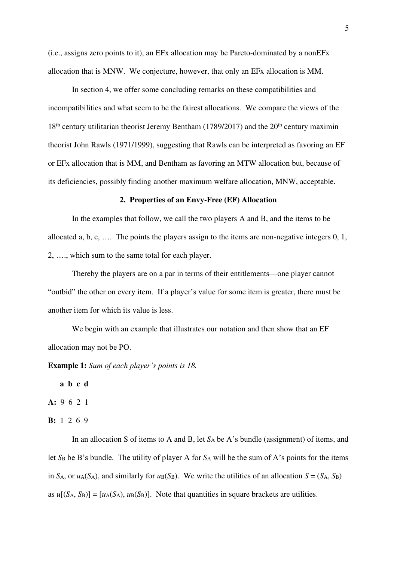(i.e., assigns zero points to it), an EFx allocation may be Pareto-dominated by a nonEFx allocation that is MNW. We conjecture, however, that only an EFx allocation is MM.

In section 4, we offer some concluding remarks on these compatibilities and incompatibilities and what seem to be the fairest allocations. We compare the views of the  $18<sup>th</sup>$  century utilitarian theorist Jeremy Bentham (1789/2017) and the  $20<sup>th</sup>$  century maximin theorist John Rawls (1971/1999), suggesting that Rawls can be interpreted as favoring an EF or EFx allocation that is MM, and Bentham as favoring an MTW allocation but, because of its deficiencies, possibly finding another maximum welfare allocation, MNW, acceptable.

## **2. Properties of an Envy-Free (EF) Allocation**

In the examples that follow, we call the two players A and B, and the items to be allocated a, b, c, …. The points the players assign to the items are non-negative integers 0, 1, 2, …., which sum to the same total for each player.

Thereby the players are on a par in terms of their entitlements—one player cannot "outbid" the other on every item. If a player's value for some item is greater, there must be another item for which its value is less.

We begin with an example that illustrates our notation and then show that an EF allocation may not be PO.

**Example 1:** *Sum of each player's points is 18.* 

**a b c d** 

**A:** 9 6 2 1

**B:** 1 2 6 9

In an allocation S of items to A and B, let  $S_A$  be A's bundle (assignment) of items, and let *S*<sub>B</sub> be B's bundle. The utility of player A for *S*<sub>A</sub> will be the sum of A's points for the items in  $S_A$ , or  $u_A(S_A)$ , and similarly for  $u_B(S_B)$ . We write the utilities of an allocation  $S = (S_A, S_B)$ as  $u[(S_A, S_B)] = [u_A(S_A), u_B(S_B)]$ . Note that quantities in square brackets are utilities.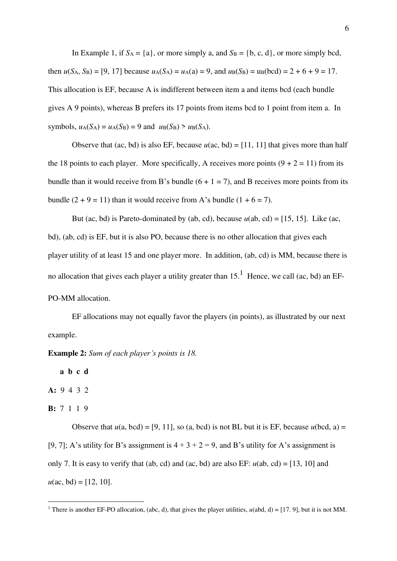In Example 1, if  $S_A = \{a\}$ , or more simply a, and  $S_B = \{b, c, d\}$ , or more simply bcd, then  $u(S_A, S_B) = [9, 17]$  because  $u_A(S_A) = u_A(a) = 9$ , and  $u_B(S_B) = u_B(bcd) = 2 + 6 + 9 = 17$ . This allocation is EF, because A is indifferent between item a and items bcd (each bundle gives A 9 points), whereas B prefers its 17 points from items bcd to 1 point from item a. In symbols,  $u_A(S_A) = u_A(S_B) = 9$  and  $u_B(S_B) > u_B(S_A)$ .

Observe that (ac, bd) is also EF, because  $u(ac, bd) = [11, 11]$  that gives more than half the 18 points to each player. More specifically, A receives more points  $(9 + 2 = 11)$  from its bundle than it would receive from B's bundle  $(6 + 1 = 7)$ , and B receives more points from its bundle  $(2 + 9 = 11)$  than it would receive from A's bundle  $(1 + 6 = 7)$ .

But (ac, bd) is Pareto-dominated by (ab, cd), because  $u$ (ab, cd) = [15, 15]. Like (ac, bd), (ab, cd) is EF, but it is also PO, because there is no other allocation that gives each player utility of at least 15 and one player more. In addition, (ab, cd) is MM, because there is no allocation that gives each player a utility greater than  $15<sup>1</sup>$  Hence, we call (ac, bd) an EF-PO-MM allocation.

EF allocations may not equally favor the players (in points), as illustrated by our next example.

**Example 2:** *Sum of each player's points is 18.* 

**a b c d** 

**A:** 9 4 3 2

**B:** 7 1 1 9

Observe that  $u(a, bcd) = [9, 11]$ , so  $(a, bcd)$  is not BL but it is EF, because  $u(bcd, a) =$ [9, 7]; A's utility for B's assignment is  $4 + 3 + 2 = 9$ , and B's utility for A's assignment is only 7. It is easy to verify that (ab, cd) and (ac, bd) are also EF:  $u$ (ab, cd) = [13, 10] and  $u(ac, bd) = [12, 10].$ 

<sup>&</sup>lt;sup>1</sup> There is another EF-PO allocation, (abc, d), that gives the player utilities,  $u(\text{abd}, d) = [17, 9]$ , but it is not MM.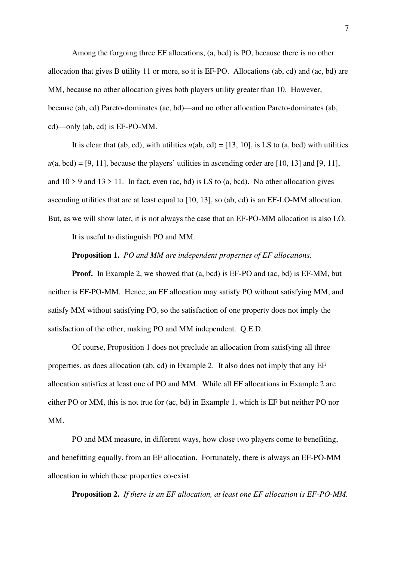Among the forgoing three EF allocations, (a, bcd) is PO, because there is no other allocation that gives B utility 11 or more, so it is EF-PO. Allocations (ab, cd) and (ac, bd) are MM, because no other allocation gives both players utility greater than 10. However, because (ab, cd) Pareto-dominates (ac, bd)—and no other allocation Pareto-dominates (ab, cd)—only (ab, cd) is EF-PO-MM.

It is clear that (ab, cd), with utilities  $u$ (ab, cd) = [13, 10], is LS to (a, bcd) with utilities  $u(a, bcd) = [9, 11]$ , because the players' utilities in ascending order are [10, 13] and [9, 11], and  $10 > 9$  and  $13 > 11$ . In fact, even (ac, bd) is LS to (a, bcd). No other allocation gives ascending utilities that are at least equal to [10, 13], so (ab, cd) is an EF-LO-MM allocation. But, as we will show later, it is not always the case that an EF-PO-MM allocation is also LO.

It is useful to distinguish PO and MM.

### **Proposition 1.** *PO and MM are independent properties of EF allocations.*

**Proof.** In Example 2, we showed that (a, bcd) is EF-PO and (ac, bd) is EF-MM, but neither is EF-PO-MM. Hence, an EF allocation may satisfy PO without satisfying MM, and satisfy MM without satisfying PO, so the satisfaction of one property does not imply the satisfaction of the other, making PO and MM independent. Q.E.D.

Of course, Proposition 1 does not preclude an allocation from satisfying all three properties, as does allocation (ab, cd) in Example 2. It also does not imply that any EF allocation satisfies at least one of PO and MM. While all EF allocations in Example 2 are either PO or MM, this is not true for (ac, bd) in Example 1, which is EF but neither PO nor MM.

PO and MM measure, in different ways, how close two players come to benefiting, and benefitting equally, from an EF allocation. Fortunately, there is always an EF-PO-MM allocation in which these properties co-exist.

**Proposition 2.** *If there is an EF allocation, at least one EF allocation is EF-PO-MM.*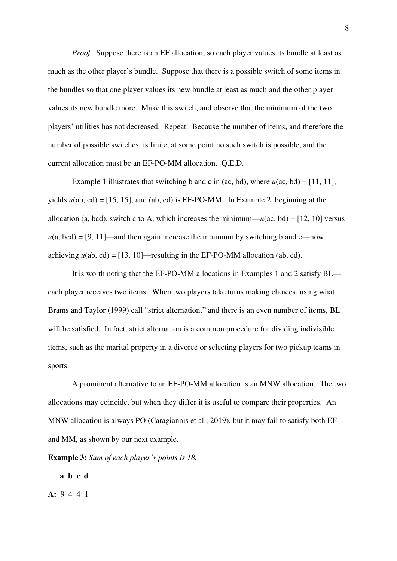*Proof.* Suppose there is an EF allocation, so each player values its bundle at least as much as the other player's bundle. Suppose that there is a possible switch of some items in the bundles so that one player values its new bundle at least as much and the other player values its new bundle more. Make this switch, and observe that the minimum of the two players' utilities has not decreased. Repeat. Because the number of items, and therefore the number of possible switches, is finite, at some point no such switch is possible, and the current allocation must be an EF-PO-MM allocation. Q.E.D.

Example 1 illustrates that switching b and c in (ac, bd), where  $u(ac, bd) = [11, 11]$ , yields  $u$ (ab, cd) = [15, 15], and (ab, cd) is EF-PO-MM. In Example 2, beginning at the allocation (a, bcd), switch c to A, which increases the minimum— $u$ (ac, bd) = [12, 10] versus  $u(a, bcd) = [9, 11]$ —and then again increase the minimum by switching b and c—now achieving  $u$ (ab, cd) = [13, 10]—resulting in the EF-PO-MM allocation (ab, cd).

It is worth noting that the EF-PO-MM allocations in Examples 1 and 2 satisfy BL each player receives two items. When two players take turns making choices, using what Brams and Taylor (1999) call "strict alternation," and there is an even number of items, BL will be satisfied. In fact, strict alternation is a common procedure for dividing indivisible items, such as the marital property in a divorce or selecting players for two pickup teams in sports.

A prominent alternative to an EF-PO-MM allocation is an MNW allocation. The two allocations may coincide, but when they differ it is useful to compare their properties. An MNW allocation is always PO (Caragiannis et al., 2019), but it may fail to satisfy both EF and MM, as shown by our next example.

**Example 3:** *Sum of each player's points is 18.* 

**a b c d** 

**A:** 9 4 4 1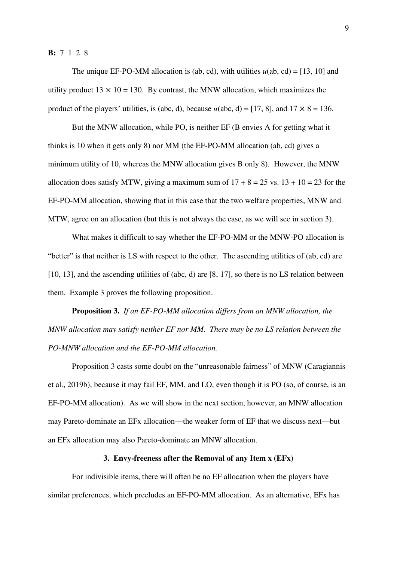#### **B:** 7 1 2 8

The unique EF-PO-MM allocation is (ab, cd), with utilities  $u$ (ab, cd) = [13, 10] and utility product  $13 \times 10 = 130$ . By contrast, the MNW allocation, which maximizes the product of the players' utilities, is (abc, d), because  $u$ (abc, d) = [17, 8], and  $17 \times 8 = 136$ .

But the MNW allocation, while PO, is neither EF (B envies A for getting what it thinks is 10 when it gets only 8) nor MM (the EF-PO-MM allocation (ab, cd) gives a minimum utility of 10, whereas the MNW allocation gives B only 8). However, the MNW allocation does satisfy MTW, giving a maximum sum of  $17 + 8 = 25$  vs.  $13 + 10 = 23$  for the EF-PO-MM allocation, showing that in this case that the two welfare properties, MNW and MTW, agree on an allocation (but this is not always the case, as we will see in section 3).

What makes it difficult to say whether the EF-PO-MM or the MNW-PO allocation is "better" is that neither is LS with respect to the other. The ascending utilities of (ab, cd) are [10, 13], and the ascending utilities of (abc, d) are [8, 17], so there is no LS relation between them. Example 3 proves the following proposition.

**Proposition 3.** *If an EF-PO-MM allocation differs from an MNW allocation, the MNW allocation may satisfy neither EF nor MM. There may be no LS relation between the PO-MNW allocation and the EF-PO-MM allocation.* 

Proposition 3 casts some doubt on the "unreasonable fairness" of MNW (Caragiannis et al., 2019b), because it may fail EF, MM, and LO, even though it is PO (so, of course, is an EF-PO-MM allocation). As we will show in the next section, however, an MNW allocation may Pareto-dominate an EFx allocation—the weaker form of EF that we discuss next—but an EFx allocation may also Pareto-dominate an MNW allocation.

## **3. Envy-freeness after the Removal of any Item x (EFx)**

For indivisible items, there will often be no EF allocation when the players have similar preferences, which precludes an EF-PO-MM allocation. As an alternative, EFx has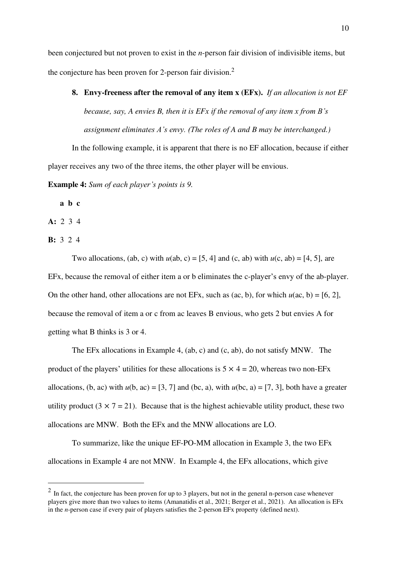been conjectured but not proven to exist in the *n*-person fair division of indivisible items, but the conjecture has been proven for 2-person fair division.<sup>2</sup>

**8. Envy-freeness after the removal of any item x (EFx).** *If an allocation is not EF because, say, A envies B, then it is EFx if the removal of any item x from B's assignment eliminates A's envy. (The roles of A and B may be interchanged.)* 

In the following example, it is apparent that there is no EF allocation, because if either player receives any two of the three items, the other player will be envious.

**Example 4:** *Sum of each player's points is 9.* 

**a b c** 

**A:** 2 3 4

**B:** 3 2 4

Two allocations, (ab, c) with  $u$ (ab, c) = [5, 4] and (c, ab) with  $u$ (c, ab) = [4, 5], are EFx, because the removal of either item a or b eliminates the c-player's envy of the ab-player. On the other hand, other allocations are not EFx, such as  $(ac, b)$ , for which  $u(ac, b) = [6, 2]$ , because the removal of item a or c from ac leaves B envious, who gets 2 but envies A for getting what B thinks is 3 or 4.

The EFx allocations in Example 4, (ab, c) and (c, ab), do not satisfy MNW. The product of the players' utilities for these allocations is  $5 \times 4 = 20$ , whereas two non-EFx allocations, (b, ac) with  $u(b, ac) = [3, 7]$  and (bc, a), with  $u(bc, a) = [7, 3]$ , both have a greater utility product  $(3 \times 7 = 21)$ . Because that is the highest achievable utility product, these two allocations are MNW. Both the EFx and the MNW allocations are LO.

To summarize, like the unique EF-PO-MM allocation in Example 3, the two EFx allocations in Example 4 are not MNW. In Example 4, the EFx allocations, which give

 $<sup>2</sup>$  In fact, the conjecture has been proven for up to 3 players, but not in the general n-person case whenever</sup> players give more than two values to items (Amanatidis et al., 2021; Berger et al., 2021). An allocation is EFx in the *n*-person case if every pair of players satisfies the 2-person EFx property (defined next).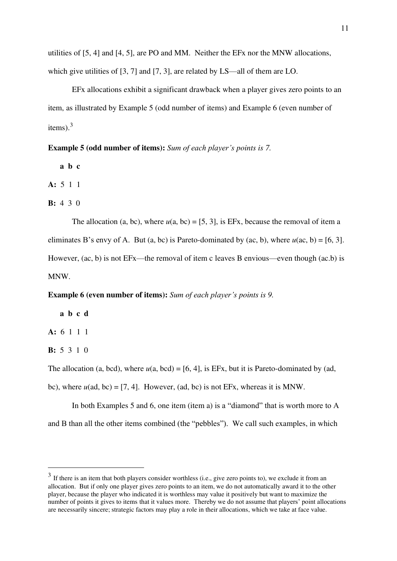utilities of [5, 4] and [4, 5], are PO and MM. Neither the EFx nor the MNW allocations, which give utilities of [3, 7] and [7, 3], are related by LS—all of them are LO.

EFx allocations exhibit a significant drawback when a player gives zero points to an item, as illustrated by Example 5 (odd number of items) and Example 6 (even number of items). $3$ 

**Example 5 (odd number of items):** Sum of each player's points is 7.

**a b c** 

**A:** 5 1 1

**B:** 4 3 0

The allocation (a, bc), where  $u(a, bc) = [5, 3]$ , is EFx, because the removal of item a eliminates B's envy of A. But (a, bc) is Pareto-dominated by (ac, b), where  $u(ac, b) = [6, 3]$ . However, (ac, b) is not EFx—the removal of item c leaves B envious—even though (ac.b) is MNW.

# **Example 6 (even number of items):** Sum of each player's points is 9.

**a b c d** 

**A:** 6 1 1 1

**B:** 5 3 1 0

The allocation (a, bcd), where  $u(a, bcd) = [6, 4]$ , is EFx, but it is Pareto-dominated by (ad,

bc), where  $u$ (ad, bc) = [7, 4]. However, (ad, bc) is not EFx, whereas it is MNW.

In both Examples 5 and 6, one item (item a) is a "diamond" that is worth more to A and B than all the other items combined (the "pebbles"). We call such examples, in which

<sup>&</sup>lt;sup>3</sup> If there is an item that both players consider worthless (i.e., give zero points to), we exclude it from an allocation. But if only one player gives zero points to an item, we do not automatically award it to the other player, because the player who indicated it is worthless may value it positively but want to maximize the number of points it gives to items that it values more. Thereby we do not assume that players' point allocations are necessarily sincere; strategic factors may play a role in their allocations, which we take at face value.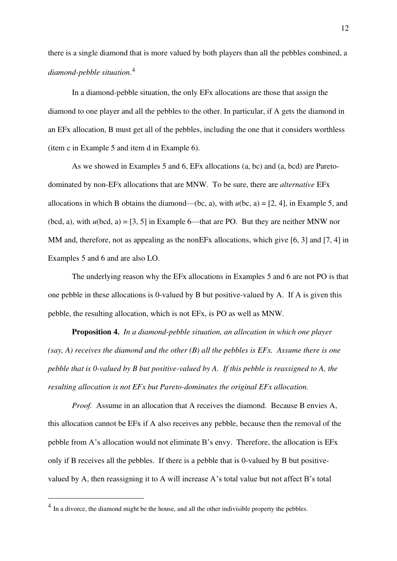there is a single diamond that is more valued by both players than all the pebbles combined, a *diamond-pebble situation*. 4

In a diamond-pebble situation, the only EFx allocations are those that assign the diamond to one player and all the pebbles to the other. In particular, if A gets the diamond in an EFx allocation, B must get all of the pebbles, including the one that it considers worthless (item c in Example 5 and item d in Example 6).

As we showed in Examples 5 and 6, EFx allocations (a, bc) and (a, bcd) are Paretodominated by non-EFx allocations that are MNW. To be sure, there are *alternative* EFx allocations in which B obtains the diamond—(bc, a), with  $u$ (bc, a) = [2, 4], in Example 5, and (bcd, a), with  $u(bcd, a) = [3, 5]$  in Example 6—that are PO. But they are neither MNW nor MM and, therefore, not as appealing as the nonEFx allocations, which give [6, 3] and [7, 4] in Examples 5 and 6 and are also LO.

The underlying reason why the EFx allocations in Examples 5 and 6 are not PO is that one pebble in these allocations is 0-valued by B but positive-valued by A. If A is given this pebble, the resulting allocation, which is not EFx, is PO as well as MNW.

**Proposition 4.** *In a diamond-pebble situation, an allocation in which one player (say, A) receives the diamond and the other (B) all the pebbles is EFx. Assume there is one pebble that is 0-valued by B but positive-valued by A. If this pebble is reassigned to A, the resulting allocation is not EFx but Pareto-dominates the original EFx allocation.* 

*Proof.* Assume in an allocation that A receives the diamond. Because B envies A, this allocation cannot be EFx if A also receives any pebble, because then the removal of the pebble from A's allocation would not eliminate B's envy. Therefore, the allocation is EFx only if B receives all the pebbles. If there is a pebble that is 0-valued by B but positivevalued by A, then reassigning it to A will increase A's total value but not affect B's total

 $<sup>4</sup>$  In a divorce, the diamond might be the house, and all the other indivisible property the pebbles.</sup>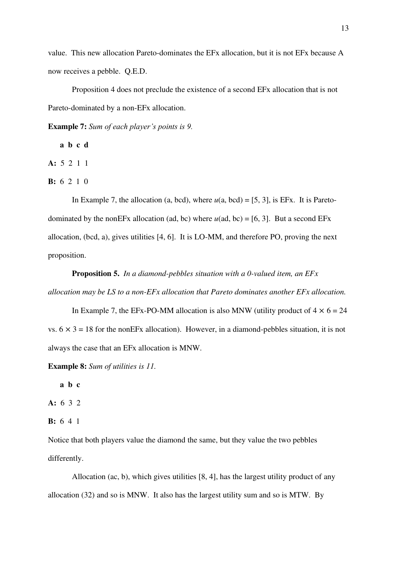value. This new allocation Pareto-dominates the EFx allocation, but it is not EFx because A now receives a pebble. Q.E.D.

Proposition 4 does not preclude the existence of a second EFx allocation that is not Pareto-dominated by a non-EFx allocation.

**Example 7:** *Sum of each player's points is 9.*

**a b c d** 

**A:** 5 2 1 1

**B:** 6 2 1 0

In Example 7, the allocation (a, bcd), where  $u(a, bcd) = [5, 3]$ , is EFx. It is Paretodominated by the nonEFx allocation (ad, bc) where  $u$ (ad, bc) = [6, 3]. But a second EFx allocation, (bcd, a), gives utilities [4, 6]. It is LO-MM, and therefore PO, proving the next proposition.

**Proposition 5.** *In a diamond-pebbles situation with a 0-valued item, an EFx allocation may be LS to a non-EFx allocation that Pareto dominates another EFx allocation.*

In Example 7, the EFx-PO-MM allocation is also MNW (utility product of  $4 \times 6 = 24$ ) vs.  $6 \times 3 = 18$  for the nonEFx allocation). However, in a diamond-pebbles situation, it is not always the case that an EFx allocation is MNW.

**Example 8:** *Sum of utilities is 11.* 

 **a b c** 

**A:** 6 3 2

```
B: 6 4 1
```
Notice that both players value the diamond the same, but they value the two pebbles differently.

Allocation (ac, b), which gives utilities [8, 4], has the largest utility product of any allocation (32) and so is MNW. It also has the largest utility sum and so is MTW. By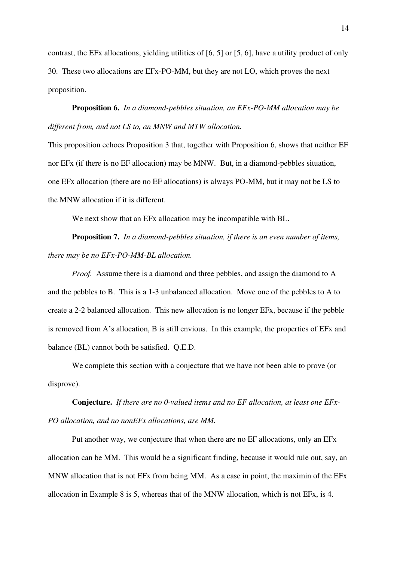contrast, the EFx allocations, yielding utilities of [6, 5] or [5, 6], have a utility product of only 30. These two allocations are EFx-PO-MM, but they are not LO, which proves the next proposition.

**Proposition 6.** *In a diamond-pebbles situation, an EFx-PO-MM allocation may be different from, and not LS to, an MNW and MTW allocation.*

This proposition echoes Proposition 3 that, together with Proposition 6, shows that neither EF nor EFx (if there is no EF allocation) may be MNW. But, in a diamond-pebbles situation, one EFx allocation (there are no EF allocations) is always PO-MM, but it may not be LS to the MNW allocation if it is different.

We next show that an EFx allocation may be incompatible with BL.

**Proposition 7.** *In a diamond-pebbles situation, if there is an even number of items, there may be no EFx-PO-MM-BL allocation.* 

*Proof.* Assume there is a diamond and three pebbles, and assign the diamond to A and the pebbles to B. This is a 1-3 unbalanced allocation. Move one of the pebbles to A to create a 2-2 balanced allocation. This new allocation is no longer EFx, because if the pebble is removed from A's allocation, B is still envious. In this example, the properties of EFx and balance (BL) cannot both be satisfied. Q.E.D.

We complete this section with a conjecture that we have not been able to prove (or disprove).

**Conjecture.** *If there are no 0-valued items and no EF allocation, at least one EFx-PO allocation, and no nonEFx allocations, are MM.*

Put another way, we conjecture that when there are no EF allocations, only an EFx allocation can be MM. This would be a significant finding, because it would rule out, say, an MNW allocation that is not EFx from being MM. As a case in point, the maximin of the EFx allocation in Example 8 is 5, whereas that of the MNW allocation, which is not EFx, is 4.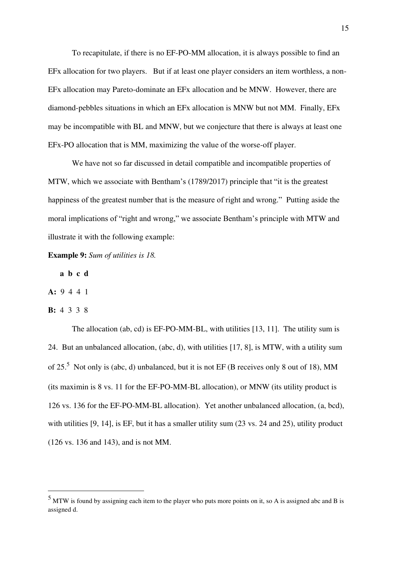To recapitulate, if there is no EF-PO-MM allocation, it is always possible to find an EFx allocation for two players. But if at least one player considers an item worthless, a non-EFx allocation may Pareto-dominate an EFx allocation and be MNW. However, there are diamond-pebbles situations in which an EFx allocation is MNW but not MM. Finally, EFx may be incompatible with BL and MNW, but we conjecture that there is always at least one EFx-PO allocation that is MM, maximizing the value of the worse-off player.

We have not so far discussed in detail compatible and incompatible properties of MTW, which we associate with Bentham's (1789/2017) principle that "it is the greatest happiness of the greatest number that is the measure of right and wrong." Putting aside the moral implications of "right and wrong," we associate Bentham's principle with MTW and illustrate it with the following example:

**Example 9:** *Sum of utilities is 18.* 

 **a b c d** 

**A:** 9 4 4 1

**B:** 4 3 3 8

The allocation (ab, cd) is EF-PO-MM-BL, with utilities [13, 11]. The utility sum is 24. But an unbalanced allocation, (abc, d), with utilities [17, 8], is MTW, with a utility sum of 25.<sup>5</sup> Not only is (abc, d) unbalanced, but it is not EF (B receives only 8 out of 18), MM (its maximin is 8 vs. 11 for the EF-PO-MM-BL allocation), or MNW (its utility product is 126 vs. 136 for the EF-PO-MM-BL allocation). Yet another unbalanced allocation, (a, bcd), with utilities [9, 14], is EF, but it has a smaller utility sum (23 vs. 24 and 25), utility product (126 vs. 136 and 143), and is not MM.

<sup>&</sup>lt;sup>5</sup> MTW is found by assigning each item to the player who puts more points on it, so A is assigned abc and B is assigned d.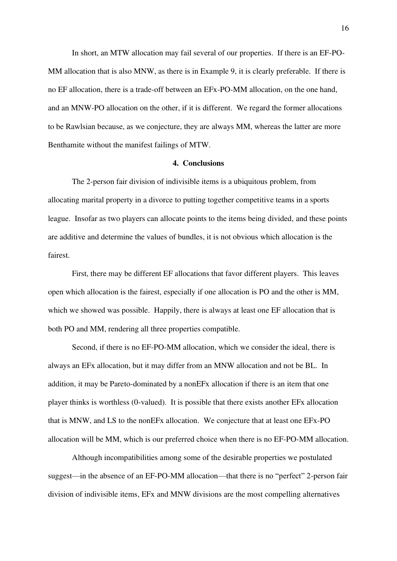In short, an MTW allocation may fail several of our properties. If there is an EF-PO-MM allocation that is also MNW, as there is in Example 9, it is clearly preferable. If there is no EF allocation, there is a trade-off between an EFx-PO-MM allocation, on the one hand, and an MNW-PO allocation on the other, if it is different. We regard the former allocations to be Rawlsian because, as we conjecture, they are always MM, whereas the latter are more Benthamite without the manifest failings of MTW.

### **4. Conclusions**

The 2-person fair division of indivisible items is a ubiquitous problem, from allocating marital property in a divorce to putting together competitive teams in a sports league. Insofar as two players can allocate points to the items being divided, and these points are additive and determine the values of bundles, it is not obvious which allocation is the fairest.

First, there may be different EF allocations that favor different players. This leaves open which allocation is the fairest, especially if one allocation is PO and the other is MM, which we showed was possible. Happily, there is always at least one EF allocation that is both PO and MM, rendering all three properties compatible.

Second, if there is no EF-PO-MM allocation, which we consider the ideal, there is always an EFx allocation, but it may differ from an MNW allocation and not be BL. In addition, it may be Pareto-dominated by a nonEFx allocation if there is an item that one player thinks is worthless (0-valued). It is possible that there exists another EFx allocation that is MNW, and LS to the nonEFx allocation. We conjecture that at least one EFx-PO allocation will be MM, which is our preferred choice when there is no EF-PO-MM allocation.

Although incompatibilities among some of the desirable properties we postulated suggest—in the absence of an EF-PO-MM allocation—that there is no "perfect" 2-person fair division of indivisible items, EFx and MNW divisions are the most compelling alternatives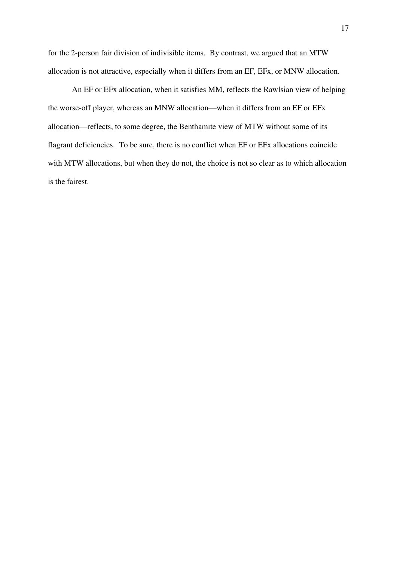for the 2-person fair division of indivisible items. By contrast, we argued that an MTW allocation is not attractive, especially when it differs from an EF, EFx, or MNW allocation.

An EF or EFx allocation, when it satisfies MM, reflects the Rawlsian view of helping the worse-off player, whereas an MNW allocation—when it differs from an EF or EFx allocation—reflects, to some degree, the Benthamite view of MTW without some of its flagrant deficiencies. To be sure, there is no conflict when EF or EFx allocations coincide with MTW allocations, but when they do not, the choice is not so clear as to which allocation is the fairest.